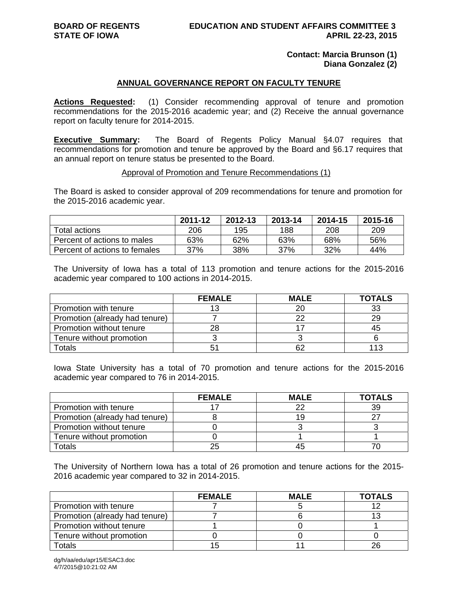# **Contact: Marcia Brunson (1)**

## **Diana Gonzalez (2)**

#### **ANNUAL GOVERNANCE REPORT ON FACULTY TENURE**

**Actions Requested:** (1) Consider recommending approval of tenure and promotion recommendations for the 2015-2016 academic year; and (2) Receive the annual governance report on faculty tenure for 2014-2015.

**Executive Summary:** The Board of Regents Policy Manual §4.07 requires that recommendations for promotion and tenure be approved by the Board and §6.17 requires that an annual report on tenure status be presented to the Board.

#### Approval of Promotion and Tenure Recommendations (1)

The Board is asked to consider approval of 209 recommendations for tenure and promotion for the 2015-2016 academic year.

|                               | 2011-12 | 2012-13 | 2013-14 | 2014-15 | 2015-16 |
|-------------------------------|---------|---------|---------|---------|---------|
| Total actions                 | 206     | 195     | 188     | 208     | 209     |
| Percent of actions to males   | 63%     | 62%     | 63%     | 68%     | 56%     |
| Percent of actions to females | 37%     | 38%     | 37%     | 32%     | 44%     |

The University of Iowa has a total of 113 promotion and tenure actions for the 2015-2016 academic year compared to 100 actions in 2014-2015.

|                                | <b>FEMALE</b> | <b>MALE</b> | <b>TOTALS</b> |
|--------------------------------|---------------|-------------|---------------|
| Promotion with tenure          | 1 ว           | 20          | 33            |
| Promotion (already had tenure) |               | 22          | 29            |
| Promotion without tenure       | 28            |             | 45            |
| Tenure without promotion       |               |             |               |
| Totals                         | 51            | 62          | 113           |

Iowa State University has a total of 70 promotion and tenure actions for the 2015-2016 academic year compared to 76 in 2014-2015.

|                                | <b>FEMALE</b> | <b>MALE</b> | <b>TOTALS</b> |
|--------------------------------|---------------|-------------|---------------|
| Promotion with tenure          |               | 22          | 39            |
| Promotion (already had tenure) |               | 19          |               |
| Promotion without tenure       |               |             |               |
| Tenure without promotion       |               |             |               |
| Totals                         | 25            | 45          |               |

The University of Northern Iowa has a total of 26 promotion and tenure actions for the 2015- 2016 academic year compared to 32 in 2014-2015.

|                                | <b>FEMALE</b> | <b>MALE</b> | <b>TOTALS</b> |
|--------------------------------|---------------|-------------|---------------|
| Promotion with tenure          |               |             |               |
| Promotion (already had tenure) |               |             |               |
| Promotion without tenure       |               |             |               |
| Tenure without promotion       |               |             |               |
| Totals                         | 15            |             | 26.           |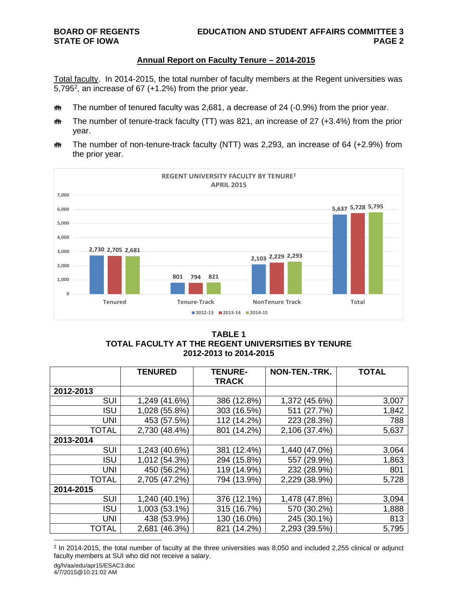### **Annual Report on Faculty Tenure – 2014-2015**

Total faculty. In 2014-2015, the total number of faculty members at the Regent universities was 5,795<sup>2</sup>, an increase of 67  $(+1.2%)$  from the prior year.

- **##** The number of tenured faculty was 2,681, a decrease of 24 (-0.9%) from the prior year.
- **##** The number of tenure-track faculty (TT) was 821, an increase of 27 (+3.4%) from the prior year.
- $m$  The number of non-tenure-track faculty (NTT) was 2,293, an increase of 64 (+2.9%) from the prior year.



#### **TABLE 1 TOTAL FACULTY AT THE REGENT UNIVERSITIES BY TENURE 2012-2013 to 2014-2015**

|              | <b>TENURED</b> | <b>TENURE-</b>    | NON-TEN.-TRK. | <b>TOTAL</b> |
|--------------|----------------|-------------------|---------------|--------------|
|              |                | <b>TRACK</b>      |               |              |
| 2012-2013    |                |                   |               |              |
| <b>SUI</b>   | 1,249 (41.6%)  | 386 (12.8%)       | 1,372 (45.6%) | 3,007        |
| <b>ISU</b>   | 1,028 (55.8%)  | 303 (16.5%)       | 511 (27.7%)   | 1,842        |
| <b>UNI</b>   | 453 (57.5%)    | 112 (14.2%)       | 223 (28.3%)   | 788          |
| <b>TOTAL</b> | 2,730 (48.4%)  | 801 (14.2%)       | 2,106 (37.4%) | 5,637        |
| 2013-2014    |                |                   |               |              |
| <b>SUI</b>   | 1,243 (40.6%)  | $(12.4\%)$<br>381 | 1,440 (47.0%) | 3,064        |
| <b>ISU</b>   | 1,012 (54.3%)  | 294 (15.8%)       | 557 (29.9%)   | 1,863        |
| UNI          | 450 (56.2%)    | 119 (14.9%)       | 232 (28.9%)   | 801          |
| <b>TOTAL</b> | 2,705 (47.2%)  | 794 (13.9%)       | 2,229 (38.9%) | 5,728        |
| 2014-2015    |                |                   |               |              |
| <b>SUI</b>   | 1,240 (40.1%)  | 376 (12.1%)       | 1,478 (47.8%) | 3,094        |
| <b>ISU</b>   | 1,003 (53.1%)  | 315 (16.7%)       | 570 (30.2%)   | 1,888        |
| <b>UNI</b>   | 438 (53.9%)    | 130 (16.0%)       | 245 (30.1%)   | 813          |
| <b>TOTAL</b> | 2,681 (46.3%)  | 821 (14.2%)       | 2,293 (39.5%) | 5,795        |
|              |                |                   |               |              |

 $2$  In 2014-2015, the total number of faculty at the three universities was 8,050 and included 2,255 clinical or adjunct faculty members at SUI who did not receive a salary.

dg/h/aa/edu/apr15/ESAC3.doc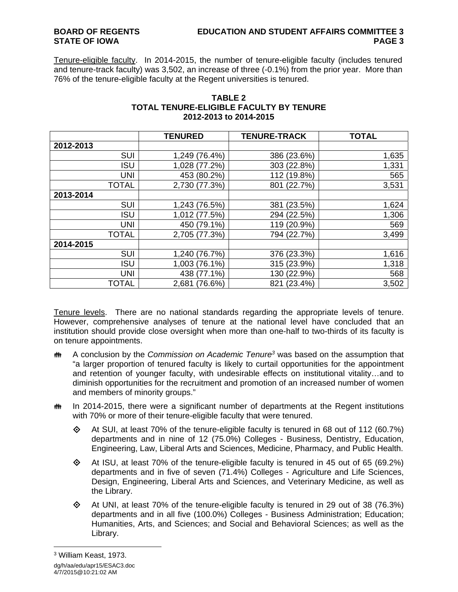#### **BOARD OF REGENTS EDUCATION AND STUDENT AFFAIRS COMMITTEE 3 STATE OF IOWA** PAGE 3

Tenure-eligible faculty. In 2014-2015, the number of tenure-eligible faculty (includes tenured and tenure-track faculty) was 3,502, an increase of three (-0.1%) from the prior year. More than 76% of the tenure-eligible faculty at the Regent universities is tenured.

|              | <b>TENURED</b>   | <b>TENURE-TRACK</b> | <b>TOTAL</b> |
|--------------|------------------|---------------------|--------------|
| 2012-2013    |                  |                     |              |
| <b>SUI</b>   | 1,249 (76.4%)    | 386 (23.6%)         | 1,635        |
| <b>ISU</b>   | 1,028 (77.2%)    | 303 (22.8%)         | 1,331        |
| <b>UNI</b>   | 453 (80.2%)      | 112 (19.8%)         | 565          |
| <b>TOTAL</b> | 2,730 (77.3%)    | 801 (22.7%)         | 3,531        |
| 2013-2014    |                  |                     |              |
| <b>SUI</b>   | 1,243 (76.5%)    | 381 (23.5%)         | 1,624        |
| <b>ISU</b>   | 1,012 (77.5%)    | 294 (22.5%)         | 1,306        |
| <b>UNI</b>   | 450 (79.1%)      | 119 (20.9%)         | 569          |
| <b>TOTAL</b> | 2,705 (77.3%)    | 794 (22.7%)         | 3,499        |
| 2014-2015    |                  |                     |              |
| <b>SUI</b>   | 1,240 (76.7%)    | 376 (23.3%)         | 1,616        |
| <b>ISU</b>   | 1,003 (76.1%)    | 315 (23.9%)         | 1,318        |
| <b>UNI</b>   | 438 (77.1%)      | 130 (22.9%)         | 568          |
| TOTAL        | 2,681<br>(76.6%) | $(23.4\%)$<br>821   | 3,502        |

#### **TABLE 2 TOTAL TENURE-ELIGIBLE FACULTY BY TENURE 2012-2013 to 2014-2015**

Tenure levels. There are no national standards regarding the appropriate levels of tenure. However, comprehensive analyses of tenure at the national level have concluded that an institution should provide close oversight when more than one-half to two-thirds of its faculty is on tenure appointments.

- **<sup>#\*\*</sup>** A conclusion by the *Commission on Academic Tenure<sup>3</sup>* was based on the assumption that "a larger proportion of tenured faculty is likely to curtail opportunities for the appointment and retention of younger faculty, with undesirable effects on institutional vitality…and to diminish opportunities for the recruitment and promotion of an increased number of women and members of minority groups."
- $\ddot{\mathbf{m}}$  In 2014-2015, there were a significant number of departments at the Regent institutions with 70% or more of their tenure-eligible faculty that were tenured.
	- $\Diamond$  At SUI, at least 70% of the tenure-eligible faculty is tenured in 68 out of 112 (60.7%) departments and in nine of 12 (75.0%) Colleges - Business, Dentistry, Education, Engineering, Law, Liberal Arts and Sciences, Medicine, Pharmacy, and Public Health.
	- $\Diamond$  At ISU, at least 70% of the tenure-eligible faculty is tenured in 45 out of 65 (69.2%) departments and in five of seven (71.4%) Colleges - Agriculture and Life Sciences, Design, Engineering, Liberal Arts and Sciences, and Veterinary Medicine, as well as the Library.
	- $\Diamond$  At UNI, at least 70% of the tenure-eligible faculty is tenured in 29 out of 38 (76.3%) departments and in all five (100.0%) Colleges - Business Administration; Education; Humanities, Arts, and Sciences; and Social and Behavioral Sciences; as well as the Library.

 $\overline{a}$ 

dg/h/aa/edu/apr15/ESAC3.doc 4/7/2015@10:21:02 AM 3 William Keast, 1973.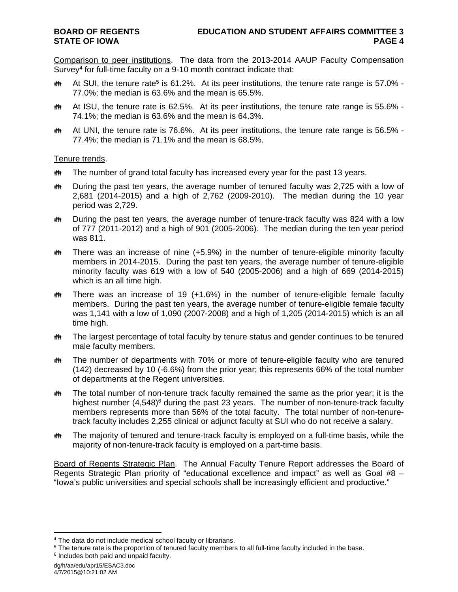Comparison to peer institutions. The data from the 2013-2014 AAUP Faculty Compensation Survey4 for full-time faculty on a 9-10 month contract indicate that:

- $\ddot{\mathbf{m}}$  At SUI, the tenure rate<sup>5</sup> is 61.2%. At its peer institutions, the tenure rate range is 57.0% -77.0%; the median is 63.6% and the mean is 65.5%.
- **##** At ISU, the tenure rate is 62.5%. At its peer institutions, the tenure rate range is 55.6% -74.1%; the median is 63.6% and the mean is 64.3%.
- $\ddot{\mathbf{m}}$  At UNI, the tenure rate is 76.6%. At its peer institutions, the tenure rate range is 56.5% -77.4%; the median is 71.1% and the mean is 68.5%.

#### Tenure trends.

- **##** The number of grand total faculty has increased every year for the past 13 years.
- **##** During the past ten years, the average number of tenured faculty was 2,725 with a low of 2,681 (2014-2015) and a high of 2,762 (2009-2010). The median during the 10 year period was 2,729.
- **##** During the past ten years, the average number of tenure-track faculty was 824 with a low of 777 (2011-2012) and a high of 901 (2005-2006). The median during the ten year period was 811.
- **##** There was an increase of nine (+5.9%) in the number of tenure-eligible minority faculty members in 2014-2015. During the past ten years, the average number of tenure-eligible minority faculty was 619 with a low of 540 (2005-2006) and a high of 669 (2014-2015) which is an all time high.
- There was an increase of 19 (+1.6%) in the number of tenure-eligible female faculty members. During the past ten years, the average number of tenure-eligible female faculty was 1,141 with a low of 1,090 (2007-2008) and a high of 1,205 (2014-2015) which is an all time high.
- **##** The largest percentage of total faculty by tenure status and gender continues to be tenured male faculty members.
- **##** The number of departments with 70% or more of tenure-eligible faculty who are tenured (142) decreased by 10 (-6.6%) from the prior year; this represents 66% of the total number of departments at the Regent universities.
- **##** The total number of non-tenure track faculty remained the same as the prior year; it is the highest number  $(4,548)^6$  during the past 23 years. The number of non-tenure-track faculty members represents more than 56% of the total faculty. The total number of non-tenuretrack faculty includes 2,255 clinical or adjunct faculty at SUI who do not receive a salary.
- **##** The majority of tenured and tenure-track faculty is employed on a full-time basis, while the majority of non-tenure-track faculty is employed on a part-time basis.

Board of Regents Strategic Plan. The Annual Faculty Tenure Report addresses the Board of Regents Strategic Plan priority of "educational excellence and impact" as well as Goal #8 – "Iowa's public universities and special schools shall be increasingly efficient and productive."

 $\overline{a}$ 

<sup>4</sup> The data do not include medical school faculty or librarians.

 $5$  The tenure rate is the proportion of tenured faculty members to all full-time faculty included in the base.  $6$  Includes both paid and unpaid faculty.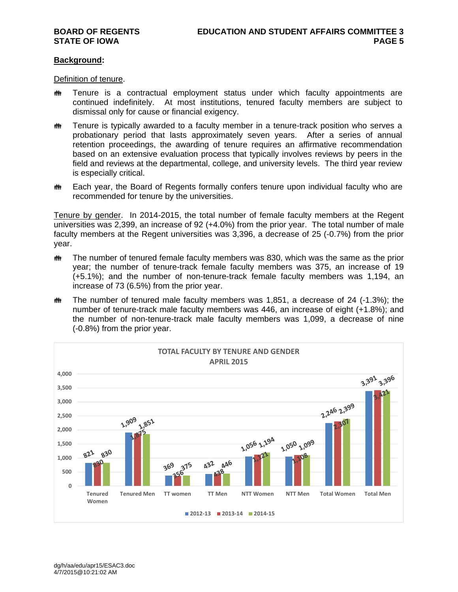#### **Background:**

Definition of tenure.

- **##** Tenure is a contractual employment status under which faculty appointments are continued indefinitely. At most institutions, tenured faculty members are subject to dismissal only for cause or financial exigency.
- **##** Tenure is typically awarded to a faculty member in a tenure-track position who serves a probationary period that lasts approximately seven years. After a series of annual retention proceedings, the awarding of tenure requires an affirmative recommendation based on an extensive evaluation process that typically involves reviews by peers in the field and reviews at the departmental, college, and university levels. The third year review is especially critical.
- **## Each year, the Board of Regents formally confers tenure upon individual faculty who are** recommended for tenure by the universities.

Tenure by gender. In 2014-2015, the total number of female faculty members at the Regent universities was 2,399, an increase of 92 (+4.0%) from the prior year. The total number of male faculty members at the Regent universities was 3,396, a decrease of 25 (-0.7%) from the prior year.

- **##** The number of tenured female faculty members was 830, which was the same as the prior year; the number of tenure-track female faculty members was 375, an increase of 19 (+5.1%); and the number of non-tenure-track female faculty members was 1,194, an increase of 73 (6.5%) from the prior year.
- **##** The number of tenured male faculty members was 1,851, a decrease of 24 (-1.3%); the number of tenure-track male faculty members was 446, an increase of eight (+1.8%); and the number of non-tenure-track male faculty members was 1,099, a decrease of nine (-0.8%) from the prior year.

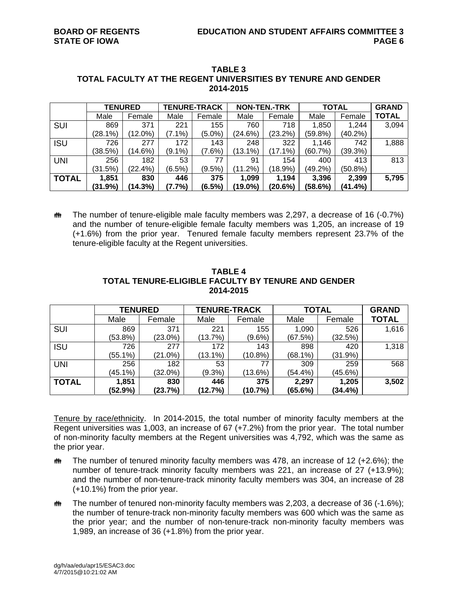|              | <b>TENURED</b> |            | <b>TENURE-TRACK</b> |           | <b>NON-TEN.-TRK</b> |            | <b>TOTAL</b> |            | <b>GRAND</b> |
|--------------|----------------|------------|---------------------|-----------|---------------------|------------|--------------|------------|--------------|
|              | Male           | Female     | Male                | Female    | Male                | Female     | Male         | Female     | <b>TOTAL</b> |
| SUI          | 869            | 371        | 221                 | 155       | 760                 | 718        | 1,850        | 1.244      | 3,094        |
|              | (28.1%)        | (12.0%)    | $(7.1\%)$           | $(5.0\%)$ | (24.6%)             | (23.2%)    | (59.8%)      | $(40.2\%)$ |              |
| <b>ISU</b>   | 726            | 277        | 172                 | 143       | 248                 | 322        | 1,146        | 742        | 1,888        |
|              | (38.5%)        | $(14.6\%)$ | $(9.1\%)$           | $(7.6\%)$ | (13.1%)             | (17.1%)    | (60.7%)      | (39.3%)    |              |
| <b>UNI</b>   | 256            | 182        | 53                  | 77        | 91                  | 154        | 400          | 413        | 813          |
|              | (31.5%)        | (22.4%)    | (6.5%)              | $(9.5\%)$ | $(11.2\%)$          | $(18.9\%)$ | (49.2%)      | $(50.8\%)$ |              |
| <b>TOTAL</b> | 1,851          | 830        | 446                 | 375       | 1.099               | 1.194      | 3,396        | 2,399      | 5,795        |
|              | (31.9%)        | (14.3%)    | (7.7%)              | (6.5%)    | (19.0%)             | (20.6%)    | (58.6%)      | (41.4%)    |              |

#### **TABLE 3 TOTAL FACULTY AT THE REGENT UNIVERSITIES BY TENURE AND GENDER 2014-2015**

 The number of tenure-eligible male faculty members was 2,297, a decrease of 16 (-0.7%) and the number of tenure-eligible female faculty members was 1,205, an increase of 19 (+1.6%) from the prior year. Tenured female faculty members represent 23.7% of the tenure-eligible faculty at the Regent universities.

|              | <b>TENURED</b> |            | <b>TENURE-TRACK</b> |           | <b>TOTAL</b> | <b>GRAND</b> |              |
|--------------|----------------|------------|---------------------|-----------|--------------|--------------|--------------|
|              | Male           | Female     | Male                | Female    | Male         | Female       | <b>TOTAL</b> |
| SUI          | 869            | 371        | 221                 | 155       | 1,090        | 526          | 1,616        |
|              | (53.8%)        | $(23.0\%)$ | (13.7%)             | $(9.6\%)$ | (67.5%)      | (32.5%)      |              |
| <b>ISU</b>   | 726            | 277        | 172                 | 143       | 898          | 420          | 1,318        |
|              | $(55.1\%)$     | $(21.0\%)$ | (13.1%)             | (10.8%)   | $(68.1\%)$   | (31.9%)      |              |
| <b>UNI</b>   | 256            | 182        | 53                  | 77        | 309          | 259          | 568          |
|              | (45.1%)        | $(32.0\%)$ | $(9.3\%)$           | (13.6%)   | (54.4%)      | (45.6%)      |              |
| <b>TOTAL</b> | 1,851          | 830        | 446                 | 375       | 2,297        | 1,205        | 3,502        |
|              | (52.9%)        | (23.7%)    | (12.7%)             | (10.7%)   | (65.6%)      | (34.4%)      |              |

#### **TABLE 4 TOTAL TENURE-ELIGIBLE FACULTY BY TENURE AND GENDER 2014-2015**

Tenure by race/ethnicity. In 2014-2015, the total number of minority faculty members at the Regent universities was 1,003, an increase of 67 (+7.2%) from the prior year. The total number of non-minority faculty members at the Regent universities was 4,792, which was the same as the prior year.

- $m$  The number of tenured minority faculty members was 478, an increase of 12 (+2.6%); the number of tenure-track minority faculty members was 221, an increase of 27 (+13.9%); and the number of non-tenure-track minority faculty members was 304, an increase of 28 (+10.1%) from the prior year.
- $\ddot{\mathbf{m}}$  The number of tenured non-minority faculty members was 2,203, a decrease of 36 (-1.6%); the number of tenure-track non-minority faculty members was 600 which was the same as the prior year; and the number of non-tenure-track non-minority faculty members was 1,989, an increase of 36 (+1.8%) from the prior year.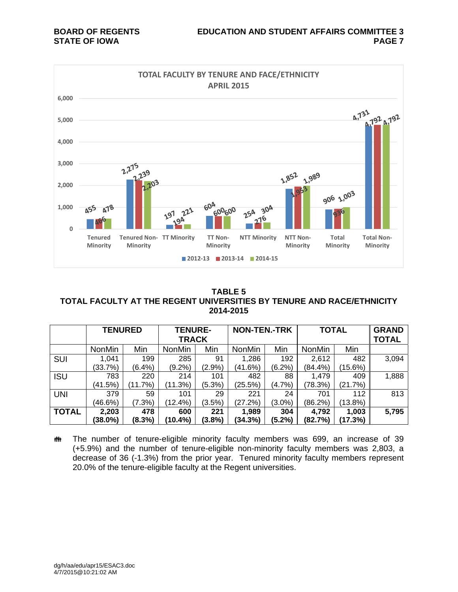**STATE OF IOWA** 



#### **TABLE 5 TOTAL FACULTY AT THE REGENT UNIVERSITIES BY TENURE AND RACE/ETHNICITY 2014-2015**

|              | <b>TENURED</b> |           | <b>TENURE-</b> |        | <b>NON-TEN.-TRK</b> |           | <b>TOTAL</b>  |            | <b>GRAND</b> |
|--------------|----------------|-----------|----------------|--------|---------------------|-----------|---------------|------------|--------------|
|              |                |           | <b>TRACK</b>   |        |                     |           |               |            | <b>TOTAL</b> |
|              | <b>NonMin</b>  | Min       | <b>NonMin</b>  | Min    | <b>NonMin</b>       | Min       | <b>NonMin</b> | Min        |              |
| SUI          | 1,041          | 199       | 285            | 91     | 1,286               | 192       | 2,612         | 482        | 3,094        |
|              | (33.7%)        | $(6.4\%)$ | $(9.2\%)$      | (2.9%  | (41.6%)             | (6.2%)    | (84.4%)       | $(15.6\%)$ |              |
| <b>ISU</b>   | 783            | 220       | 214            | 101    | 482                 | 88        | 1,479         | 409        | 1,888        |
|              | (41.5%)        | (11.7%)   | (11.3%)        | (5.3%) | (25.5%)             | (4.7%)    | (78.3%)       | (21.7%)    |              |
| <b>UNI</b>   | 379            | 59        | 101            | 29     | 221                 | 24        | 701           | 112        | 813          |
|              | (46.6%)        | (7.3%)    | (12.4%)        | (3.5%) | (27.2%)             | $(3.0\%)$ | (86.2%)       | $(13.8\%)$ |              |
| <b>TOTAL</b> | 2,203          | 478       | 600            | 221    | 1,989               | 304       | 4,792         | 1,003      | 5,795        |
|              | (38.0%)        | $(8.3\%)$ | $(10.4\%)$     | (3.8%) | (34.3%)             | $(5.2\%)$ | (82.7%)       | (17.3%)    |              |

**##** The number of tenure-eligible minority faculty members was 699, an increase of 39 (+5.9%) and the number of tenure-eligible non-minority faculty members was 2,803, a decrease of 36 (-1.3%) from the prior year. Tenured minority faculty members represent 20.0% of the tenure-eligible faculty at the Regent universities.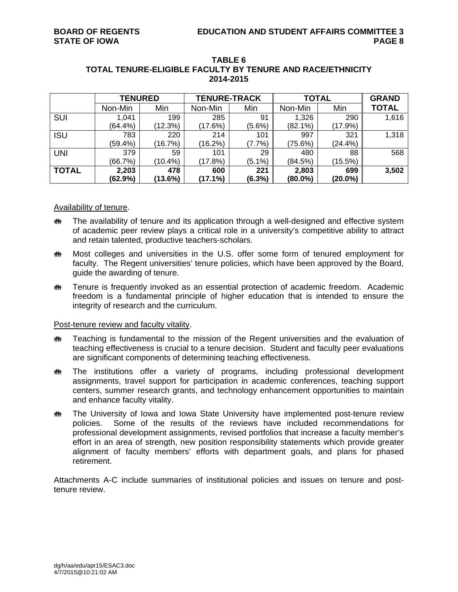|              | <b>TENURED</b> |            | <b>TENURE-TRACK</b> |           | <b>TOTAL</b> | <b>GRAND</b> |              |
|--------------|----------------|------------|---------------------|-----------|--------------|--------------|--------------|
|              | Non-Min        | Min        | Non-Min             | Min       | Non-Min      | Min          | <b>TOTAL</b> |
| SUI          | 1,041          | 199        | 285                 | 91        | 1,326        | 290          | 1,616        |
|              | $(64.4\%)$     | (12.3%)    | (17.6%)             | $(5.6\%)$ | $(82.1\%)$   | (17.9%)      |              |
| <b>ISU</b>   | 783            | 220        | 214                 | 101       | 997          | 321          | 1,318        |
|              | (59.4%)        | (16.7%)    | (16.2%)             | (7.7%)    | (75.6%)      | $(24.4\%)$   |              |
| <b>UNI</b>   | 379            | 59         | 101                 | 29        | 480          | 88           | 568          |
|              | (66.7%)        | $(10.4\%)$ | (17.8%)             | $(5.1\%)$ | (84.5%)      | $(15.5\%)$   |              |
| <b>TOTAL</b> | 2,203          | 478        | 600                 | 221       | 2,803        | 699          | 3,502        |
|              | (62.9%)        | (13.6%)    | $(17.1\%)$          | (6.3%)    | $(80.0\%)$   | $(20.0\%)$   |              |

#### **TABLE 6 TOTAL TENURE-ELIGIBLE FACULTY BY TENURE AND RACE/ETHNICITY 2014-2015**

#### Availability of tenure.

- **##** The availability of tenure and its application through a well-designed and effective system of academic peer review plays a critical role in a university's competitive ability to attract and retain talented, productive teachers-scholars.
- **Most colleges and universities in the U.S. offer some form of tenured employment for** faculty. The Regent universities' tenure policies, which have been approved by the Board, guide the awarding of tenure.
- **##** Tenure is frequently invoked as an essential protection of academic freedom. Academic freedom is a fundamental principle of higher education that is intended to ensure the integrity of research and the curriculum.

#### Post-tenure review and faculty vitality.

- **##** Teaching is fundamental to the mission of the Regent universities and the evaluation of teaching effectiveness is crucial to a tenure decision. Student and faculty peer evaluations are significant components of determining teaching effectiveness.
- **##** The institutions offer a variety of programs, including professional development assignments, travel support for participation in academic conferences, teaching support centers, summer research grants, and technology enhancement opportunities to maintain and enhance faculty vitality.
- **##** The University of Iowa and Iowa State University have implemented post-tenure review policies. Some of the results of the reviews have included recommendations for professional development assignments, revised portfolios that increase a faculty member's effort in an area of strength, new position responsibility statements which provide greater alignment of faculty members' efforts with department goals, and plans for phased retirement.

Attachments A-C include summaries of institutional policies and issues on tenure and posttenure review.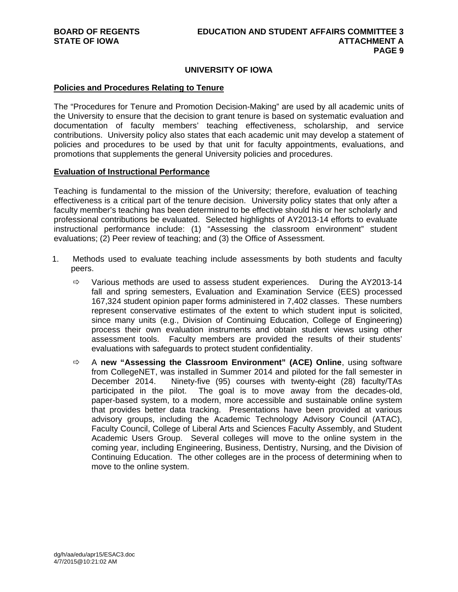### **UNIVERSITY OF IOWA**

#### **Policies and Procedures Relating to Tenure**

The "Procedures for Tenure and Promotion Decision-Making" are used by all academic units of the University to ensure that the decision to grant tenure is based on systematic evaluation and documentation of faculty members' teaching effectiveness, scholarship, and service contributions. University policy also states that each academic unit may develop a statement of policies and procedures to be used by that unit for faculty appointments, evaluations, and promotions that supplements the general University policies and procedures.

#### **Evaluation of Instructional Performance**

Teaching is fundamental to the mission of the University; therefore, evaluation of teaching effectiveness is a critical part of the tenure decision. University policy states that only after a faculty member's teaching has been determined to be effective should his or her scholarly and professional contributions be evaluated. Selected highlights of AY2013-14 efforts to evaluate instructional performance include: (1) "Assessing the classroom environment" student evaluations; (2) Peer review of teaching; and (3) the Office of Assessment.

- 1. Methods used to evaluate teaching include assessments by both students and faculty peers.
	- $\Rightarrow$  Various methods are used to assess student experiences. During the AY2013-14 fall and spring semesters, Evaluation and Examination Service (EES) processed 167,324 student opinion paper forms administered in 7,402 classes. These numbers represent conservative estimates of the extent to which student input is solicited, since many units (e.g., Division of Continuing Education, College of Engineering) process their own evaluation instruments and obtain student views using other assessment tools. Faculty members are provided the results of their students' evaluations with safeguards to protect student confidentiality.
	- A **new "Assessing the Classroom Environment" (ACE) Online**, using software from CollegeNET, was installed in Summer 2014 and piloted for the fall semester in December 2014. Ninety-five (95) courses with twenty-eight (28) faculty/TAs participated in the pilot. The goal is to move away from the decades-old, paper-based system, to a modern, more accessible and sustainable online system that provides better data tracking. Presentations have been provided at various advisory groups, including the Academic Technology Advisory Council (ATAC), Faculty Council, College of Liberal Arts and Sciences Faculty Assembly, and Student Academic Users Group. Several colleges will move to the online system in the coming year, including Engineering, Business, Dentistry, Nursing, and the Division of Continuing Education. The other colleges are in the process of determining when to move to the online system.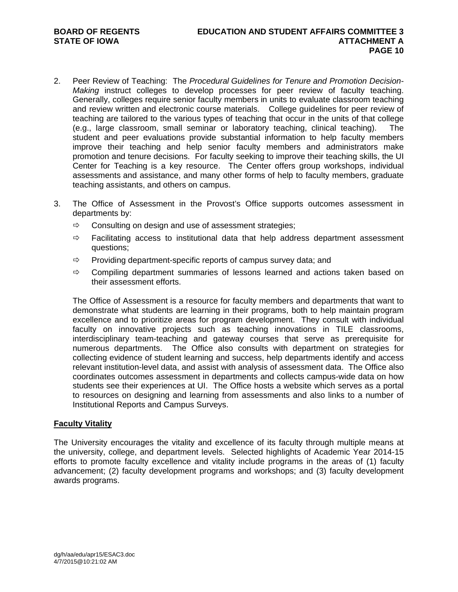- 2. Peer Review of Teaching:The *Procedural Guidelines for Tenure and Promotion Decision-Making* instruct colleges to develop processes for peer review of faculty teaching. Generally, colleges require senior faculty members in units to evaluate classroom teaching and review written and electronic course materials. College guidelines for peer review of teaching are tailored to the various types of teaching that occur in the units of that college (e.g., large classroom, small seminar or laboratory teaching, clinical teaching). The student and peer evaluations provide substantial information to help faculty members improve their teaching and help senior faculty members and administrators make promotion and tenure decisions. For faculty seeking to improve their teaching skills, the UI Center for Teaching is a key resource. The Center offers group workshops, individual assessments and assistance, and many other forms of help to faculty members, graduate teaching assistants, and others on campus.
- 3. The Office of Assessment in the Provost's Office supports outcomes assessment in departments by:
	- $\Rightarrow$  Consulting on design and use of assessment strategies;
	- $\Rightarrow$  Facilitating access to institutional data that help address department assessment questions;
	- $\Rightarrow$  Providing department-specific reports of campus survey data; and
	- $\Rightarrow$  Compiling department summaries of lessons learned and actions taken based on their assessment efforts.

The Office of Assessment is a resource for faculty members and departments that want to demonstrate what students are learning in their programs, both to help maintain program excellence and to prioritize areas for program development. They consult with individual faculty on innovative projects such as teaching innovations in TILE classrooms, interdisciplinary team-teaching and gateway courses that serve as prerequisite for numerous departments. The Office also consults with department on strategies for collecting evidence of student learning and success, help departments identify and access relevant institution-level data, and assist with analysis of assessment data. The Office also coordinates outcomes assessment in departments and collects campus-wide data on how students see their experiences at UI. The Office hosts a website which serves as a portal to resources on designing and learning from assessments and also links to a number of Institutional Reports and Campus Surveys.

#### **Faculty Vitality**

The University encourages the vitality and excellence of its faculty through multiple means at the university, college, and department levels. Selected highlights of Academic Year 2014-15 efforts to promote faculty excellence and vitality include programs in the areas of (1) faculty advancement; (2) faculty development programs and workshops; and (3) faculty development awards programs.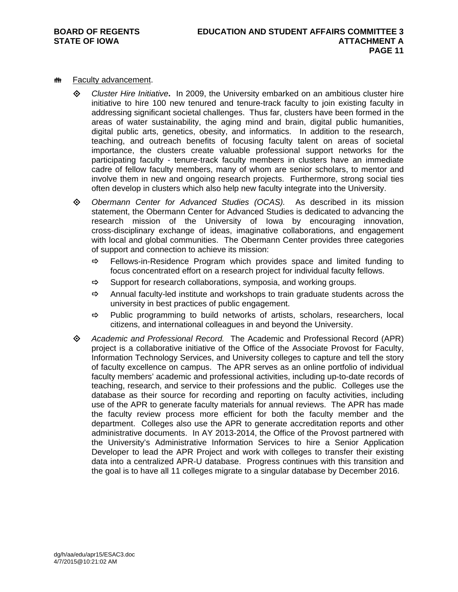#### **## Faculty advancement.**

- *Cluster Hire Initiative***.** In 2009, the University embarked on an ambitious cluster hire initiative to hire 100 new tenured and tenure-track faculty to join existing faculty in addressing significant societal challenges. Thus far, clusters have been formed in the areas of water sustainability, the aging mind and brain, digital public humanities, digital public arts, genetics, obesity, and informatics. In addition to the research, teaching, and outreach benefits of focusing faculty talent on areas of societal importance, the clusters create valuable professional support networks for the participating faculty - tenure-track faculty members in clusters have an immediate cadre of fellow faculty members, many of whom are senior scholars, to mentor and involve them in new and ongoing research projects. Furthermore, strong social ties often develop in clusters which also help new faculty integrate into the University.
- *Obermann Center for Advanced Studies (OCAS).* As described in its mission statement, the Obermann Center for Advanced Studies is dedicated to advancing the research mission of the University of Iowa by encouraging innovation, cross-disciplinary exchange of ideas, imaginative collaborations, and engagement with local and global communities. The Obermann Center provides three categories of support and connection to achieve its mission:
	- $\Rightarrow$  Fellows-in-Residence Program which provides space and limited funding to focus concentrated effort on a research project for individual faculty fellows.
	- $\Rightarrow$  Support for research collaborations, symposia, and working groups.
	- $\Rightarrow$  Annual faculty-led institute and workshops to train graduate students across the university in best practices of public engagement.
	- $\Rightarrow$  Public programming to build networks of artists, scholars, researchers, local citizens, and international colleagues in and beyond the University.
- *Academic and Professional Record.* The Academic and Professional Record (APR) project is a collaborative initiative of the Office of the Associate Provost for Faculty, Information Technology Services, and University colleges to capture and tell the story of faculty excellence on campus. The APR serves as an online portfolio of individual faculty members' academic and professional activities, including up-to-date records of teaching, research, and service to their professions and the public. Colleges use the database as their source for recording and reporting on faculty activities, including use of the APR to generate faculty materials for annual reviews. The APR has made the faculty review process more efficient for both the faculty member and the department. Colleges also use the APR to generate accreditation reports and other administrative documents. In AY 2013-2014, the Office of the Provost partnered with the University's Administrative Information Services to hire a Senior Application Developer to lead the APR Project and work with colleges to transfer their existing data into a centralized APR-U database. Progress continues with this transition and the goal is to have all 11 colleges migrate to a singular database by December 2016.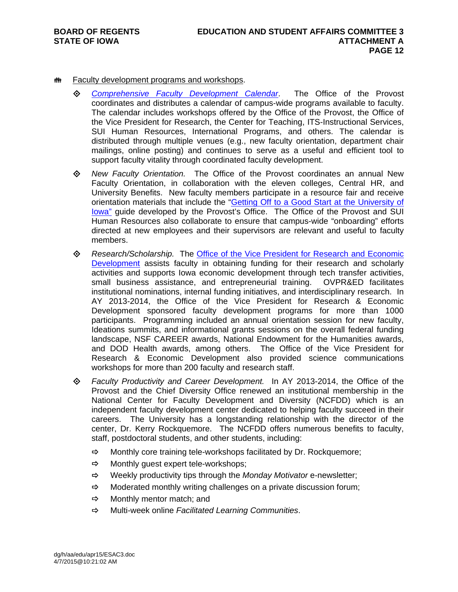#### **## Faculty development programs and workshops.**

- *Comprehensive Faculty Development Calendar*. The Office of the Provost coordinates and distributes a calendar of campus-wide programs available to faculty. The calendar includes workshops offered by the Office of the Provost, the Office of the Vice President for Research, the Center for Teaching, ITS-Instructional Services, SUI Human Resources, International Programs, and others. The calendar is distributed through multiple venues (e.g., new faculty orientation, department chair mailings, online posting) and continues to serve as a useful and efficient tool to support faculty vitality through coordinated faculty development.
- *New Faculty Orientation.* The Office of the Provost coordinates an annual New Faculty Orientation, in collaboration with the eleven colleges, Central HR, and University Benefits. New faculty members participate in a resource fair and receive orientation materials that include the "Getting Off to a Good Start at the University of Iowa" guide developed by the Provost's Office. The Office of the Provost and SUI Human Resources also collaborate to ensure that campus-wide "onboarding" efforts directed at new employees and their supervisors are relevant and useful to faculty members.
- *Research/Scholarship.* The Office of the Vice President for Research and Economic Development assists faculty in obtaining funding for their research and scholarly activities and supports Iowa economic development through tech transfer activities, small business assistance, and entrepreneurial training. OVPR&ED facilitates institutional nominations, internal funding initiatives, and interdisciplinary research. In AY 2013-2014, the Office of the Vice President for Research & Economic Development sponsored faculty development programs for more than 1000 participants. Programming included an annual orientation session for new faculty, Ideations summits, and informational grants sessions on the overall federal funding landscape, NSF CAREER awards, National Endowment for the Humanities awards, and DOD Health awards, among others. The Office of the Vice President for Research & Economic Development also provided science communications workshops for more than 200 faculty and research staff.
- *Faculty Productivity and Career Development.* In AY 2013-2014, the Office of the Provost and the Chief Diversity Office renewed an institutional membership in the National Center for Faculty Development and Diversity (NCFDD) which is an independent faculty development center dedicated to helping faculty succeed in their careers. The University has a longstanding relationship with the director of the center, Dr. Kerry Rockquemore. The NCFDD offers numerous benefits to faculty, staff, postdoctoral students, and other students, including:
	- $\Rightarrow$  Monthly core training tele-workshops facilitated by Dr. Rockquemore;
	- $\Rightarrow$  Monthly quest expert tele-workshops;
	- Weekly productivity tips through the *Monday Motivator* e-newsletter;
	- $\Rightarrow$  Moderated monthly writing challenges on a private discussion forum;
	- $\Rightarrow$  Monthly mentor match; and
	- Multi-week online *Facilitated Learning Communities*.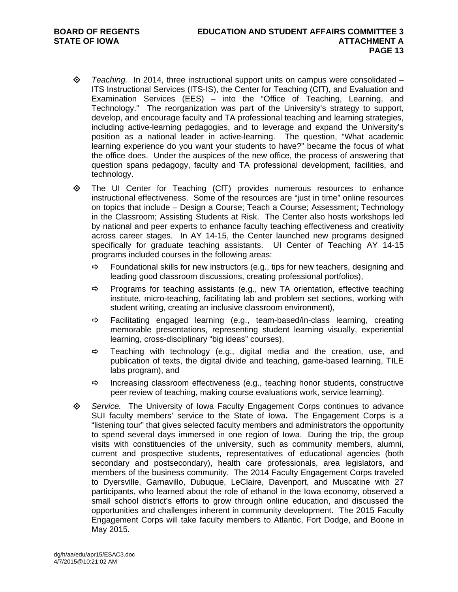- *Teaching.* In 2014, three instructional support units on campus were consolidated ITS Instructional Services (ITS-IS), the Center for Teaching (CfT), and Evaluation and Examination Services (EES) – into the "Office of Teaching, Learning, and Technology." The reorganization was part of the University's strategy to support, develop, and encourage faculty and TA professional teaching and learning strategies, including active-learning pedagogies, and to leverage and expand the University's position as a national leader in active-learning. The question, "What academic learning experience do you want your students to have?" became the focus of what the office does. Under the auspices of the new office, the process of answering that question spans pedagogy, faculty and TA professional development, facilities, and technology.
- The UI Center for Teaching (CfT) provides numerous resources to enhance instructional effectiveness. Some of the resources are "just in time" online resources on topics that include – Design a Course; Teach a Course; Assessment; Technology in the Classroom; Assisting Students at Risk. The Center also hosts workshops led by national and peer experts to enhance faculty teaching effectiveness and creativity across career stages. In AY 14-15, the Center launched new programs designed specifically for graduate teaching assistants. UI Center of Teaching AY 14-15 programs included courses in the following areas:
	- $\Rightarrow$  Foundational skills for new instructors (e.g., tips for new teachers, designing and leading good classroom discussions, creating professional portfolios),
	- $\Rightarrow$  Programs for teaching assistants (e.g., new TA orientation, effective teaching institute, micro-teaching, facilitating lab and problem set sections, working with student writing, creating an inclusive classroom environment),
	- Facilitating engaged learning (e.g., team-based/in-class learning, creating memorable presentations, representing student learning visually, experiential learning, cross-disciplinary "big ideas" courses),
	- $\Rightarrow$  Teaching with technology (e.g., digital media and the creation, use, and publication of texts, the digital divide and teaching, game-based learning, TILE labs program), and
	- $\Rightarrow$  Increasing classroom effectiveness (e.g., teaching honor students, constructive peer review of teaching, making course evaluations work, service learning).
- *Service.*The University of Iowa Faculty Engagement Corps continues to advance SUI faculty members' service to the State of Iowa**.** The Engagement Corps is a "listening tour" that gives selected faculty members and administrators the opportunity to spend several days immersed in one region of Iowa. During the trip, the group visits with constituencies of the university, such as community members, alumni, current and prospective students, representatives of educational agencies (both secondary and postsecondary), health care professionals, area legislators, and members of the business community. The 2014 Faculty Engagement Corps traveled to Dyersville, Garnavillo, Dubuque, LeClaire, Davenport, and Muscatine with 27 participants, who learned about the role of ethanol in the Iowa economy, observed a small school district's efforts to grow through online education, and discussed the opportunities and challenges inherent in community development. The 2015 Faculty Engagement Corps will take faculty members to Atlantic, Fort Dodge, and Boone in May 2015.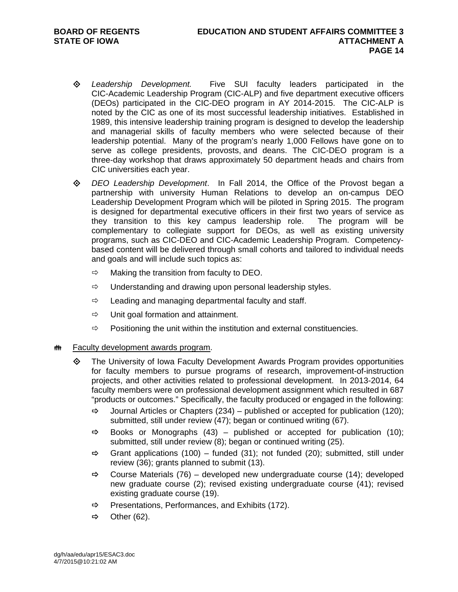- *Leadership Development.* Five SUI faculty leaders participated in the CIC-Academic Leadership Program (CIC-ALP) and five department executive officers (DEOs) participated in the CIC-DEO program in AY 2014-2015. The CIC-ALP is noted by the CIC as one of its most successful leadership initiatives. Established in 1989, this intensive leadership training program is designed to develop the leadership and managerial skills of faculty members who were selected because of their leadership potential. Many of the program's nearly 1,000 Fellows have gone on to serve as college presidents, provosts, and deans. The CIC-DEO program is a three-day workshop that draws approximately 50 department heads and chairs from CIC universities each year.
- *DEO Leadership Development*. In Fall 2014, the Office of the Provost began a partnership with university Human Relations to develop an on-campus DEO Leadership Development Program which will be piloted in Spring 2015. The program is designed for departmental executive officers in their first two years of service as they transition to this key campus leadership role. The program will be complementary to collegiate support for DEOs, as well as existing university programs, such as CIC-DEO and CIC-Academic Leadership Program. Competencybased content will be delivered through small cohorts and tailored to individual needs and goals and will include such topics as:
	- $\Rightarrow$  Making the transition from faculty to DEO.
	- $\Rightarrow$  Understanding and drawing upon personal leadership styles.
	- $\Rightarrow$  Leading and managing departmental faculty and staff.
	- $\Rightarrow$  Unit goal formation and attainment.
	- $\Rightarrow$  Positioning the unit within the institution and external constituencies.

#### **## Faculty development awards program.**

- The University of Iowa Faculty Development Awards Program provides opportunities for faculty members to pursue programs of research, improvement-of-instruction projects, and other activities related to professional development. In 2013-2014, 64 faculty members were on professional development assignment which resulted in 687 "products or outcomes." Specifically, the faculty produced or engaged in the following:
	- $\Rightarrow$  Journal Articles or Chapters (234) published or accepted for publication (120); submitted, still under review (47); began or continued writing (67).
	- $\Rightarrow$  Books or Monographs (43) published or accepted for publication (10); submitted, still under review (8); began or continued writing (25).
	- $\Rightarrow$  Grant applications (100) funded (31); not funded (20); submitted, still under review (36); grants planned to submit (13).
	- $\Rightarrow$  Course Materials (76) developed new undergraduate course (14); developed new graduate course (2); revised existing undergraduate course (41); revised existing graduate course (19).
	- $\Rightarrow$  Presentations, Performances, and Exhibits (172).
	- $\Rightarrow$  Other (62).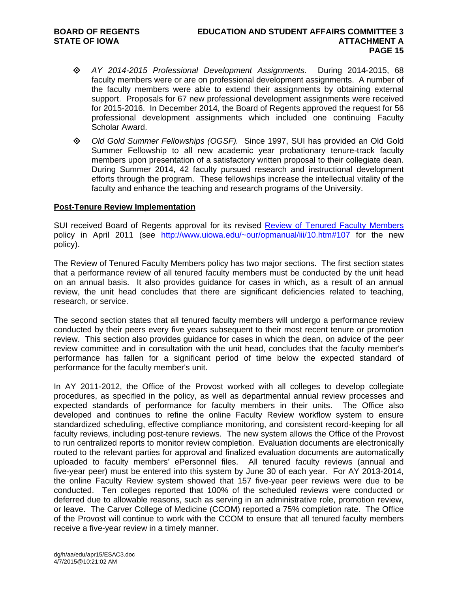- *AY 2014-2015 Professional Development Assignments.*During 2014-2015, 68 faculty members were or are on professional development assignments. A number of the faculty members were able to extend their assignments by obtaining external support. Proposals for 67 new professional development assignments were received for 2015-2016. In December 2014, the Board of Regents approved the request for 56 professional development assignments which included one continuing Faculty Scholar Award.
- *Old Gold Summer Fellowships (OGSF).*Since 1997, SUI has provided an Old Gold Summer Fellowship to all new academic year probationary tenure-track faculty members upon presentation of a satisfactory written proposal to their collegiate dean. During Summer 2014, 42 faculty pursued research and instructional development efforts through the program. These fellowships increase the intellectual vitality of the faculty and enhance the teaching and research programs of the University.

#### **Post-Tenure Review Implementation**

SUI received Board of Regents approval for its revised Review of Tenured Faculty Members policy in April 2011 (see http://www.uiowa.edu/~our/opmanual/iii/10.htm#107 for the new policy).

The Review of Tenured Faculty Members policy has two major sections. The first section states that a performance review of all tenured faculty members must be conducted by the unit head on an annual basis. It also provides guidance for cases in which, as a result of an annual review, the unit head concludes that there are significant deficiencies related to teaching, research, or service.

The second section states that all tenured faculty members will undergo a performance review conducted by their peers every five years subsequent to their most recent tenure or promotion review. This section also provides guidance for cases in which the dean, on advice of the peer review committee and in consultation with the unit head, concludes that the faculty member's performance has fallen for a significant period of time below the expected standard of performance for the faculty member's unit.

In AY 2011-2012, the Office of the Provost worked with all colleges to develop collegiate procedures, as specified in the policy, as well as departmental annual review processes and expected standards of performance for faculty members in their units. The Office also developed and continues to refine the online Faculty Review workflow system to ensure standardized scheduling, effective compliance monitoring, and consistent record-keeping for all faculty reviews, including post-tenure reviews. The new system allows the Office of the Provost to run centralized reports to monitor review completion. Evaluation documents are electronically routed to the relevant parties for approval and finalized evaluation documents are automatically uploaded to faculty members' ePersonnel files. All tenured faculty reviews (annual and five-year peer) must be entered into this system by June 30 of each year. For AY 2013-2014, the online Faculty Review system showed that 157 five-year peer reviews were due to be conducted. Ten colleges reported that 100% of the scheduled reviews were conducted or deferred due to allowable reasons, such as serving in an administrative role, promotion review, or leave. The Carver College of Medicine (CCOM) reported a 75% completion rate. The Office of the Provost will continue to work with the CCOM to ensure that all tenured faculty members receive a five-year review in a timely manner.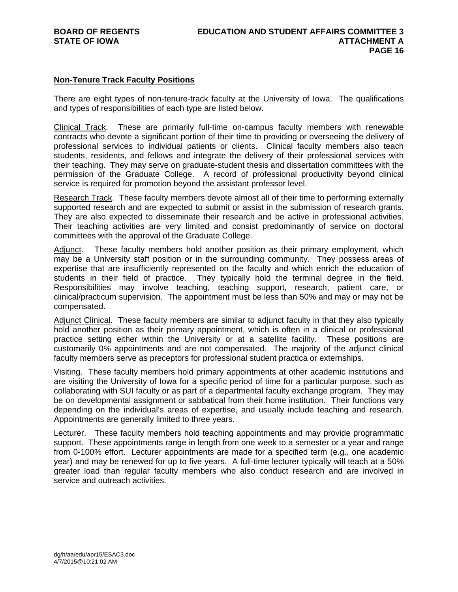#### **Non-Tenure Track Faculty Positions**

There are eight types of non-tenure-track faculty at the University of Iowa. The qualifications and types of responsibilities of each type are listed below.

Clinical Track. These are primarily full-time on-campus faculty members with renewable contracts who devote a significant portion of their time to providing or overseeing the delivery of professional services to individual patients or clients. Clinical faculty members also teach students, residents, and fellows and integrate the delivery of their professional services with their teaching. They may serve on graduate-student thesis and dissertation committees with the permission of the Graduate College. A record of professional productivity beyond clinical service is required for promotion beyond the assistant professor level.

Research Track. These faculty members devote almost all of their time to performing externally supported research and are expected to submit or assist in the submission of research grants. They are also expected to disseminate their research and be active in professional activities. Their teaching activities are very limited and consist predominantly of service on doctoral committees with the approval of the Graduate College.

Adjunct. These faculty members hold another position as their primary employment, which may be a University staff position or in the surrounding community. They possess areas of expertise that are insufficiently represented on the faculty and which enrich the education of students in their field of practice. They typically hold the terminal degree in the field. Responsibilities may involve teaching, teaching support, research, patient care, or clinical/practicum supervision. The appointment must be less than 50% and may or may not be compensated.

Adjunct Clinical. These faculty members are similar to adjunct faculty in that they also typically hold another position as their primary appointment, which is often in a clinical or professional practice setting either within the University or at a satellite facility. These positions are customarily 0% appointments and are not compensated. The majority of the adjunct clinical faculty members serve as preceptors for professional student practica or externships.

Visiting. These faculty members hold primary appointments at other academic institutions and are visiting the University of Iowa for a specific period of time for a particular purpose, such as collaborating with SUI faculty or as part of a departmental faculty exchange program. They may be on developmental assignment or sabbatical from their home institution. Their functions vary depending on the individual's areas of expertise, and usually include teaching and research. Appointments are generally limited to three years.

Lecturer. These faculty members hold teaching appointments and may provide programmatic support. These appointments range in length from one week to a semester or a year and range from 0-100% effort. Lecturer appointments are made for a specified term (e.g., one academic year) and may be renewed for up to five years. A full-time lecturer typically will teach at a 50% greater load than regular faculty members who also conduct research and are involved in service and outreach activities.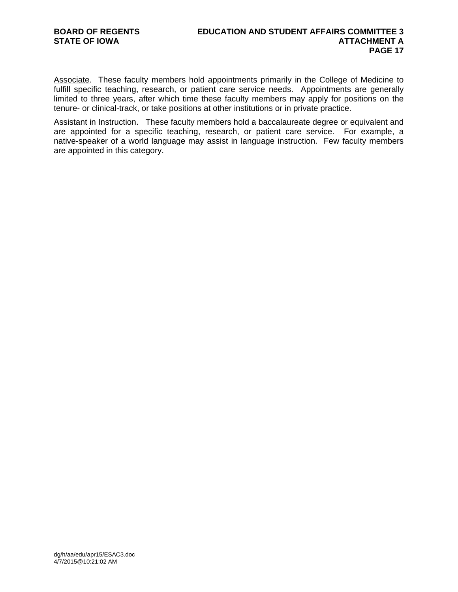Associate. These faculty members hold appointments primarily in the College of Medicine to fulfill specific teaching, research, or patient care service needs. Appointments are generally limited to three years, after which time these faculty members may apply for positions on the tenure- or clinical-track, or take positions at other institutions or in private practice.

Assistant in Instruction. These faculty members hold a baccalaureate degree or equivalent and are appointed for a specific teaching, research, or patient care service. For example, a native-speaker of a world language may assist in language instruction. Few faculty members are appointed in this category.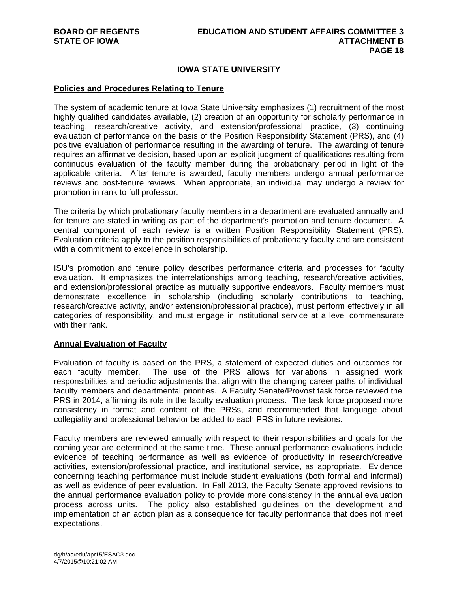#### **IOWA STATE UNIVERSITY**

#### **Policies and Procedures Relating to Tenure**

The system of academic tenure at Iowa State University emphasizes (1) recruitment of the most highly qualified candidates available, (2) creation of an opportunity for scholarly performance in teaching, research/creative activity, and extension/professional practice, (3) continuing evaluation of performance on the basis of the Position Responsibility Statement (PRS), and (4) positive evaluation of performance resulting in the awarding of tenure. The awarding of tenure requires an affirmative decision, based upon an explicit judgment of qualifications resulting from continuous evaluation of the faculty member during the probationary period in light of the applicable criteria. After tenure is awarded, faculty members undergo annual performance reviews and post-tenure reviews. When appropriate, an individual may undergo a review for promotion in rank to full professor.

The criteria by which probationary faculty members in a department are evaluated annually and for tenure are stated in writing as part of the department's promotion and tenure document. A central component of each review is a written Position Responsibility Statement (PRS). Evaluation criteria apply to the position responsibilities of probationary faculty and are consistent with a commitment to excellence in scholarship.

ISU's promotion and tenure policy describes performance criteria and processes for faculty evaluation. It emphasizes the interrelationships among teaching, research/creative activities, and extension/professional practice as mutually supportive endeavors. Faculty members must demonstrate excellence in scholarship (including scholarly contributions to teaching, research/creative activity, and/or extension/professional practice), must perform effectively in all categories of responsibility, and must engage in institutional service at a level commensurate with their rank.

#### **Annual Evaluation of Faculty**

Evaluation of faculty is based on the PRS, a statement of expected duties and outcomes for each faculty member. The use of the PRS allows for variations in assigned work responsibilities and periodic adjustments that align with the changing career paths of individual faculty members and departmental priorities. A Faculty Senate/Provost task force reviewed the PRS in 2014, affirming its role in the faculty evaluation process. The task force proposed more consistency in format and content of the PRSs, and recommended that language about collegiality and professional behavior be added to each PRS in future revisions.

Faculty members are reviewed annually with respect to their responsibilities and goals for the coming year are determined at the same time. These annual performance evaluations include evidence of teaching performance as well as evidence of productivity in research/creative activities, extension/professional practice, and institutional service, as appropriate. Evidence concerning teaching performance must include student evaluations (both formal and informal) as well as evidence of peer evaluation. In Fall 2013, the Faculty Senate approved revisions to the annual performance evaluation policy to provide more consistency in the annual evaluation process across units. The policy also established guidelines on the development and implementation of an action plan as a consequence for faculty performance that does not meet expectations.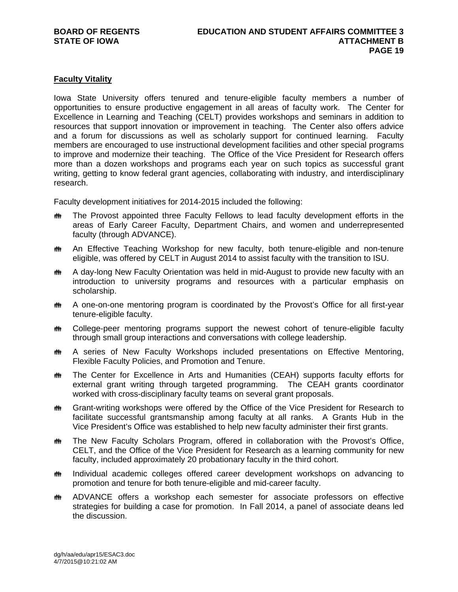#### **Faculty Vitality**

Iowa State University offers tenured and tenure-eligible faculty members a number of opportunities to ensure productive engagement in all areas of faculty work. The Center for Excellence in Learning and Teaching (CELT) provides workshops and seminars in addition to resources that support innovation or improvement in teaching. The Center also offers advice and a forum for discussions as well as scholarly support for continued learning. Faculty members are encouraged to use instructional development facilities and other special programs to improve and modernize their teaching. The Office of the Vice President for Research offers more than a dozen workshops and programs each year on such topics as successful grant writing, getting to know federal grant agencies, collaborating with industry, and interdisciplinary research.

Faculty development initiatives for 2014-2015 included the following:

- **##** The Provost appointed three Faculty Fellows to lead faculty development efforts in the areas of Early Career Faculty, Department Chairs, and women and underrepresented faculty (through ADVANCE).
- **##** An Effective Teaching Workshop for new faculty, both tenure-eligible and non-tenure eligible, was offered by CELT in August 2014 to assist faculty with the transition to ISU.
- A day-long New Faculty Orientation was held in mid-August to provide new faculty with an introduction to university programs and resources with a particular emphasis on scholarship.
- **##** A one-on-one mentoring program is coordinated by the Provost's Office for all first-year tenure-eligible faculty.
- **#\*\*** College-peer mentoring programs support the newest cohort of tenure-eligible faculty through small group interactions and conversations with college leadership.
- **\*\*\*** A series of New Faculty Workshops included presentations on Effective Mentoring, Flexible Faculty Policies, and Promotion and Tenure.
- The Center for Excellence in Arts and Humanities (CEAH) supports faculty efforts for external grant writing through targeted programming. The CEAH grants coordinator worked with cross-disciplinary faculty teams on several grant proposals.
- **##** Grant-writing workshops were offered by the Office of the Vice President for Research to facilitate successful grantsmanship among faculty at all ranks. A Grants Hub in the Vice President's Office was established to help new faculty administer their first grants.
- **##** The New Faculty Scholars Program, offered in collaboration with the Provost's Office, CELT, and the Office of the Vice President for Research as a learning community for new faculty, included approximately 20 probationary faculty in the third cohort.
- *I***M** Individual academic colleges offered career development workshops on advancing to promotion and tenure for both tenure-eligible and mid-career faculty.
- **##** ADVANCE offers a workshop each semester for associate professors on effective strategies for building a case for promotion. In Fall 2014, a panel of associate deans led the discussion.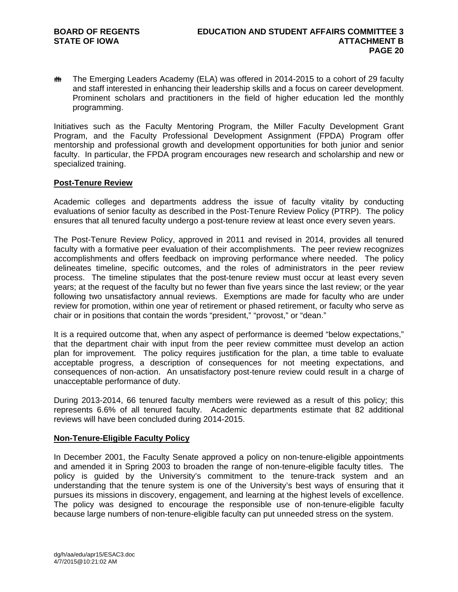The Emerging Leaders Academy (ELA) was offered in 2014-2015 to a cohort of 29 faculty and staff interested in enhancing their leadership skills and a focus on career development. Prominent scholars and practitioners in the field of higher education led the monthly programming.

Initiatives such as the Faculty Mentoring Program, the Miller Faculty Development Grant Program, and the Faculty Professional Development Assignment (FPDA) Program offer mentorship and professional growth and development opportunities for both junior and senior faculty. In particular, the FPDA program encourages new research and scholarship and new or specialized training.

#### **Post-Tenure Review**

Academic colleges and departments address the issue of faculty vitality by conducting evaluations of senior faculty as described in the Post-Tenure Review Policy (PTRP). The policy ensures that all tenured faculty undergo a post-tenure review at least once every seven years.

The Post-Tenure Review Policy, approved in 2011 and revised in 2014, provides all tenured faculty with a formative peer evaluation of their accomplishments. The peer review recognizes accomplishments and offers feedback on improving performance where needed. The policy delineates timeline, specific outcomes, and the roles of administrators in the peer review process. The timeline stipulates that the post-tenure review must occur at least every seven years; at the request of the faculty but no fewer than five years since the last review; or the year following two unsatisfactory annual reviews. Exemptions are made for faculty who are under review for promotion, within one year of retirement or phased retirement, or faculty who serve as chair or in positions that contain the words "president," "provost," or "dean."

It is a required outcome that, when any aspect of performance is deemed "below expectations," that the department chair with input from the peer review committee must develop an action plan for improvement. The policy requires justification for the plan, a time table to evaluate acceptable progress, a description of consequences for not meeting expectations, and consequences of non-action. An unsatisfactory post-tenure review could result in a charge of unacceptable performance of duty.

During 2013-2014, 66 tenured faculty members were reviewed as a result of this policy; this represents 6.6% of all tenured faculty. Academic departments estimate that 82 additional reviews will have been concluded during 2014-2015.

#### **Non-Tenure-Eligible Faculty Policy**

In December 2001, the Faculty Senate approved a policy on non-tenure-eligible appointments and amended it in Spring 2003 to broaden the range of non-tenure-eligible faculty titles. The policy is guided by the University's commitment to the tenure-track system and an understanding that the tenure system is one of the University's best ways of ensuring that it pursues its missions in discovery, engagement, and learning at the highest levels of excellence. The policy was designed to encourage the responsible use of non-tenure-eligible faculty because large numbers of non-tenure-eligible faculty can put unneeded stress on the system.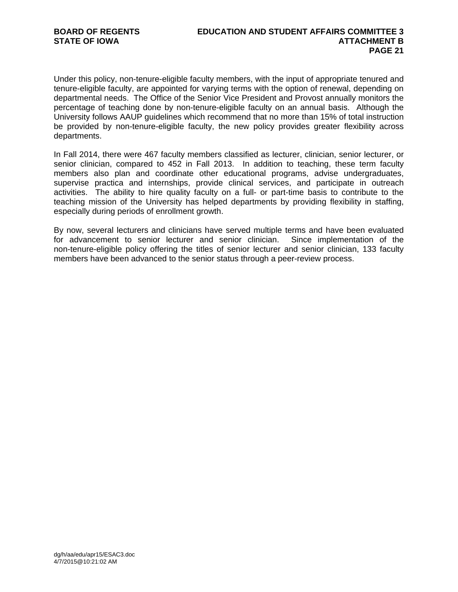Under this policy, non-tenure-eligible faculty members, with the input of appropriate tenured and tenure-eligible faculty, are appointed for varying terms with the option of renewal, depending on departmental needs. The Office of the Senior Vice President and Provost annually monitors the percentage of teaching done by non-tenure-eligible faculty on an annual basis. Although the University follows AAUP guidelines which recommend that no more than 15% of total instruction be provided by non-tenure-eligible faculty, the new policy provides greater flexibility across departments.

In Fall 2014, there were 467 faculty members classified as lecturer, clinician, senior lecturer, or senior clinician, compared to 452 in Fall 2013. In addition to teaching, these term faculty members also plan and coordinate other educational programs, advise undergraduates, supervise practica and internships, provide clinical services, and participate in outreach activities. The ability to hire quality faculty on a full- or part-time basis to contribute to the teaching mission of the University has helped departments by providing flexibility in staffing, especially during periods of enrollment growth.

By now, several lecturers and clinicians have served multiple terms and have been evaluated for advancement to senior lecturer and senior clinician. Since implementation of the non-tenure-eligible policy offering the titles of senior lecturer and senior clinician, 133 faculty members have been advanced to the senior status through a peer-review process.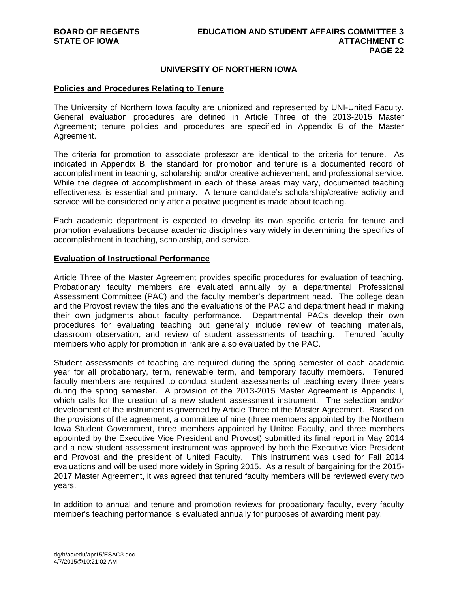#### **UNIVERSITY OF NORTHERN IOWA**

#### **Policies and Procedures Relating to Tenure**

The University of Northern Iowa faculty are unionized and represented by UNI-United Faculty. General evaluation procedures are defined in Article Three of the 2013-2015 Master Agreement; tenure policies and procedures are specified in Appendix B of the Master Agreement.

The criteria for promotion to associate professor are identical to the criteria for tenure. As indicated in Appendix B, the standard for promotion and tenure is a documented record of accomplishment in teaching, scholarship and/or creative achievement, and professional service. While the degree of accomplishment in each of these areas may vary, documented teaching effectiveness is essential and primary. A tenure candidate's scholarship/creative activity and service will be considered only after a positive judgment is made about teaching.

Each academic department is expected to develop its own specific criteria for tenure and promotion evaluations because academic disciplines vary widely in determining the specifics of accomplishment in teaching, scholarship, and service.

#### **Evaluation of Instructional Performance**

Article Three of the Master Agreement provides specific procedures for evaluation of teaching. Probationary faculty members are evaluated annually by a departmental Professional Assessment Committee (PAC) and the faculty member's department head. The college dean and the Provost review the files and the evaluations of the PAC and department head in making their own judgments about faculty performance. Departmental PACs develop their own procedures for evaluating teaching but generally include review of teaching materials, classroom observation, and review of student assessments of teaching. Tenured faculty members who apply for promotion in rank are also evaluated by the PAC.

Student assessments of teaching are required during the spring semester of each academic year for all probationary, term, renewable term, and temporary faculty members. Tenured faculty members are required to conduct student assessments of teaching every three years during the spring semester. A provision of the 2013-2015 Master Agreement is Appendix I, which calls for the creation of a new student assessment instrument. The selection and/or development of the instrument is governed by Article Three of the Master Agreement. Based on the provisions of the agreement, a committee of nine (three members appointed by the Northern Iowa Student Government, three members appointed by United Faculty, and three members appointed by the Executive Vice President and Provost) submitted its final report in May 2014 and a new student assessment instrument was approved by both the Executive Vice President and Provost and the president of United Faculty. This instrument was used for Fall 2014 evaluations and will be used more widely in Spring 2015. As a result of bargaining for the 2015- 2017 Master Agreement, it was agreed that tenured faculty members will be reviewed every two years.

In addition to annual and tenure and promotion reviews for probationary faculty, every faculty member's teaching performance is evaluated annually for purposes of awarding merit pay.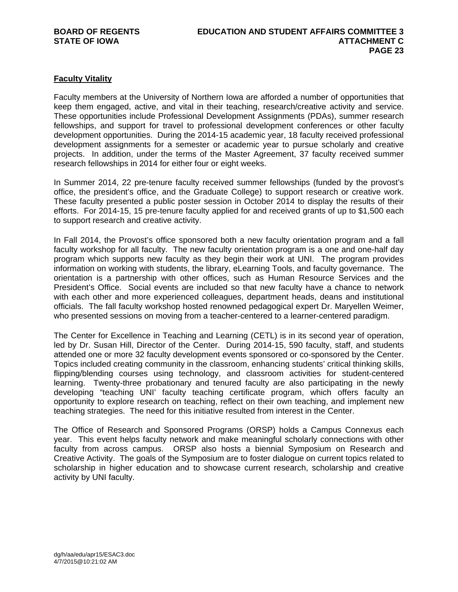#### **Faculty Vitality**

Faculty members at the University of Northern Iowa are afforded a number of opportunities that keep them engaged, active, and vital in their teaching, research/creative activity and service. These opportunities include Professional Development Assignments (PDAs), summer research fellowships, and support for travel to professional development conferences or other faculty development opportunities. During the 2014-15 academic year, 18 faculty received professional development assignments for a semester or academic year to pursue scholarly and creative projects. In addition, under the terms of the Master Agreement, 37 faculty received summer research fellowships in 2014 for either four or eight weeks.

In Summer 2014, 22 pre-tenure faculty received summer fellowships (funded by the provost's office, the president's office, and the Graduate College) to support research or creative work. These faculty presented a public poster session in October 2014 to display the results of their efforts. For 2014-15, 15 pre-tenure faculty applied for and received grants of up to \$1,500 each to support research and creative activity.

In Fall 2014, the Provost's office sponsored both a new faculty orientation program and a fall faculty workshop for all faculty. The new faculty orientation program is a one and one-half day program which supports new faculty as they begin their work at UNI. The program provides information on working with students, the library, eLearning Tools, and faculty governance. The orientation is a partnership with other offices, such as Human Resource Services and the President's Office. Social events are included so that new faculty have a chance to network with each other and more experienced colleagues, department heads, deans and institutional officials. The fall faculty workshop hosted renowned pedagogical expert Dr. Maryellen Weimer, who presented sessions on moving from a teacher-centered to a learner-centered paradigm.

The Center for Excellence in Teaching and Learning (CETL) is in its second year of operation, led by Dr. Susan Hill, Director of the Center. During 2014-15, 590 faculty, staff, and students attended one or more 32 faculty development events sponsored or co-sponsored by the Center. Topics included creating community in the classroom, enhancing students' critical thinking skills, flipping/blending courses using technology, and classroom activities for student-centered learning. Twenty-three probationary and tenured faculty are also participating in the newly developing "teaching UNI' faculty teaching certificate program, which offers faculty an opportunity to explore research on teaching, reflect on their own teaching, and implement new teaching strategies. The need for this initiative resulted from interest in the Center.

The Office of Research and Sponsored Programs (ORSP) holds a Campus Connexus each year. This event helps faculty network and make meaningful scholarly connections with other faculty from across campus. ORSP also hosts a biennial Symposium on Research and Creative Activity. The goals of the Symposium are to foster dialogue on current topics related to scholarship in higher education and to showcase current research, scholarship and creative activity by UNI faculty.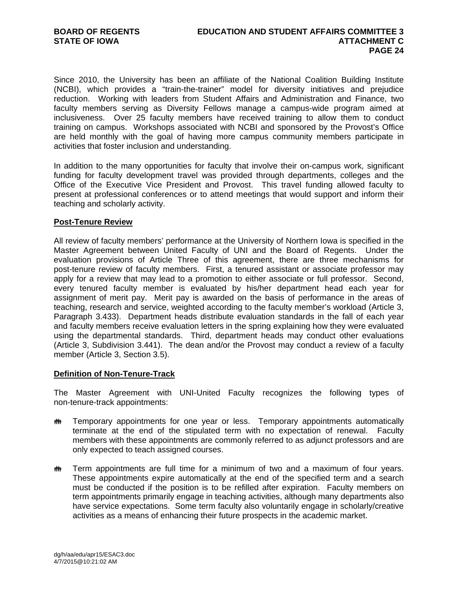Since 2010, the University has been an affiliate of the National Coalition Building Institute (NCBI), which provides a "train-the-trainer" model for diversity initiatives and prejudice reduction. Working with leaders from Student Affairs and Administration and Finance, two faculty members serving as Diversity Fellows manage a campus-wide program aimed at inclusiveness. Over 25 faculty members have received training to allow them to conduct training on campus. Workshops associated with NCBI and sponsored by the Provost's Office are held monthly with the goal of having more campus community members participate in activities that foster inclusion and understanding.

In addition to the many opportunities for faculty that involve their on-campus work, significant funding for faculty development travel was provided through departments, colleges and the Office of the Executive Vice President and Provost. This travel funding allowed faculty to present at professional conferences or to attend meetings that would support and inform their teaching and scholarly activity.

#### **Post-Tenure Review**

All review of faculty members' performance at the University of Northern Iowa is specified in the Master Agreement between United Faculty of UNI and the Board of Regents. Under the evaluation provisions of Article Three of this agreement, there are three mechanisms for post-tenure review of faculty members. First, a tenured assistant or associate professor may apply for a review that may lead to a promotion to either associate or full professor. Second, every tenured faculty member is evaluated by his/her department head each year for assignment of merit pay. Merit pay is awarded on the basis of performance in the areas of teaching, research and service, weighted according to the faculty member's workload (Article 3, Paragraph 3.433). Department heads distribute evaluation standards in the fall of each year and faculty members receive evaluation letters in the spring explaining how they were evaluated using the departmental standards. Third, department heads may conduct other evaluations (Article 3, Subdivision 3.441). The dean and/or the Provost may conduct a review of a faculty member (Article 3, Section 3.5).

#### **Definition of Non-Tenure-Track**

The Master Agreement with UNI-United Faculty recognizes the following types of non-tenure-track appointments:

- **##** Temporary appointments for one year or less. Temporary appointments automatically terminate at the end of the stipulated term with no expectation of renewal. Faculty members with these appointments are commonly referred to as adjunct professors and are only expected to teach assigned courses.
- **##** Term appointments are full time for a minimum of two and a maximum of four years. These appointments expire automatically at the end of the specified term and a search must be conducted if the position is to be refilled after expiration. Faculty members on term appointments primarily engage in teaching activities, although many departments also have service expectations. Some term faculty also voluntarily engage in scholarly/creative activities as a means of enhancing their future prospects in the academic market.